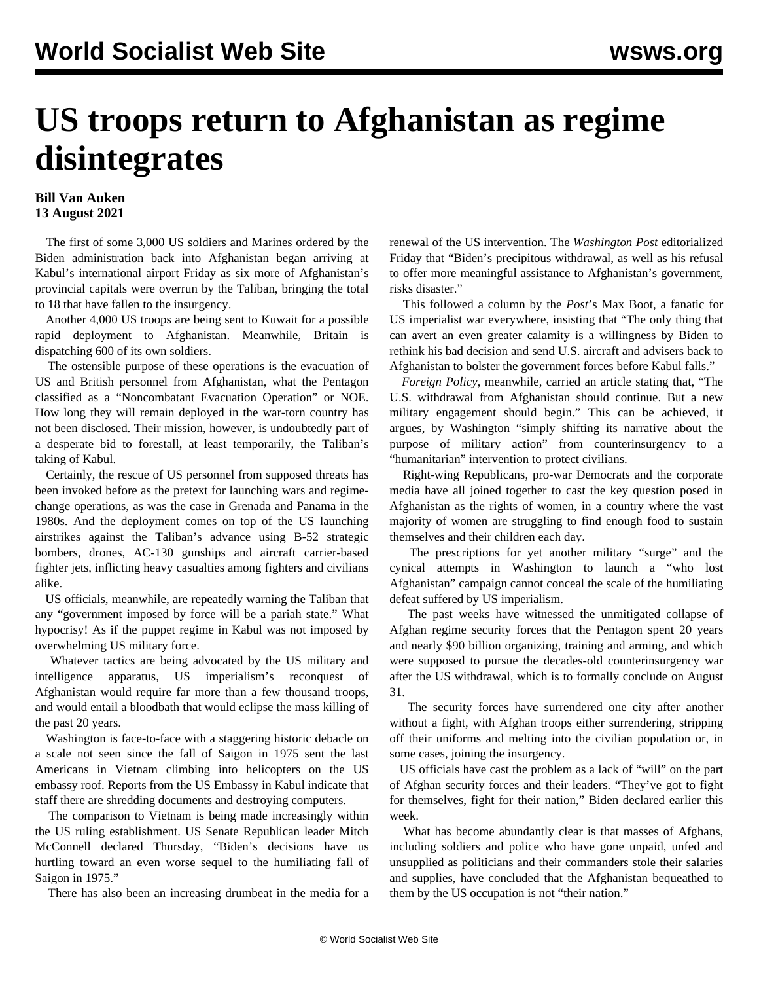## **US troops return to Afghanistan as regime disintegrates**

## **Bill Van Auken 13 August 2021**

 The first of some 3,000 US soldiers and Marines ordered by the Biden administration back into Afghanistan began arriving at Kabul's international airport Friday as six more of Afghanistan's provincial capitals were overrun by the Taliban, bringing the total to 18 that have fallen to the insurgency.

 Another 4,000 US troops are being sent to Kuwait for a possible rapid deployment to Afghanistan. Meanwhile, Britain is dispatching 600 of its own soldiers.

 The ostensible purpose of these operations is the evacuation of US and British personnel from Afghanistan, what the Pentagon classified as a "Noncombatant Evacuation Operation" or NOE. How long they will remain deployed in the war-torn country has not been disclosed. Their mission, however, is undoubtedly part of a desperate bid to forestall, at least temporarily, the Taliban's taking of Kabul.

 Certainly, the rescue of US personnel from supposed threats has been invoked before as the pretext for launching wars and regimechange operations, as was the case in Grenada and Panama in the 1980s. And the deployment comes on top of the US launching airstrikes against the Taliban's advance using B-52 strategic bombers, drones, AC-130 gunships and aircraft carrier-based fighter jets, inflicting heavy casualties among fighters and civilians alike.

 US officials, meanwhile, are repeatedly warning the Taliban that any "government imposed by force will be a pariah state." What hypocrisy! As if the puppet regime in Kabul was not imposed by overwhelming US military force.

 Whatever tactics are being advocated by the US military and intelligence apparatus, US imperialism's reconquest of Afghanistan would require far more than a few thousand troops, and would entail a bloodbath that would eclipse the mass killing of the past 20 years.

 Washington is face-to-face with a staggering historic debacle on a scale not seen since the fall of Saigon in 1975 sent the last Americans in Vietnam climbing into helicopters on the US embassy roof. Reports from the US Embassy in Kabul indicate that staff there are shredding documents and destroying computers.

 The comparison to Vietnam is being made increasingly within the US ruling establishment. US Senate Republican leader Mitch McConnell declared Thursday, "Biden's decisions have us hurtling toward an even worse sequel to the humiliating fall of Saigon in 1975."

There has also been an increasing drumbeat in the media for a

renewal of the US intervention. The *Washington Post* editorialized Friday that "Biden's precipitous withdrawal, as well as his refusal to offer more meaningful assistance to Afghanistan's government, risks disaster."

 This followed a column by the *Post*'s Max Boot, a fanatic for US imperialist war everywhere, insisting that "The only thing that can avert an even greater calamity is a willingness by Biden to rethink his bad decision and send U.S. aircraft and advisers back to Afghanistan to bolster the government forces before Kabul falls."

 *Foreign Policy*, meanwhile, carried an article stating that, "The U.S. withdrawal from Afghanistan should continue. But a new military engagement should begin." This can be achieved, it argues, by Washington "simply shifting its narrative about the purpose of military action" from counterinsurgency to a "humanitarian" intervention to protect civilians.

 Right-wing Republicans, pro-war Democrats and the corporate media have all joined together to cast the key question posed in Afghanistan as the rights of women, in a country where the vast majority of women are struggling to find enough food to sustain themselves and their children each day.

 The prescriptions for yet another military "surge" and the cynical attempts in Washington to launch a "who lost Afghanistan" campaign cannot conceal the scale of the humiliating defeat suffered by US imperialism.

 The past weeks have witnessed the unmitigated collapse of Afghan regime security forces that the Pentagon spent 20 years and nearly \$90 billion organizing, training and arming, and which were supposed to pursue the decades-old counterinsurgency war after the US withdrawal, which is to formally conclude on August 31.

 The security forces have surrendered one city after another without a fight, with Afghan troops either surrendering, stripping off their uniforms and melting into the civilian population or, in some cases, joining the insurgency.

 US officials have cast the problem as a lack of "will" on the part of Afghan security forces and their leaders. "They've got to fight for themselves, fight for their nation," Biden declared earlier this week.

 What has become abundantly clear is that masses of Afghans, including soldiers and police who have gone unpaid, unfed and unsupplied as politicians and their commanders stole their salaries and supplies, have concluded that the Afghanistan bequeathed to them by the US occupation is not "their nation."